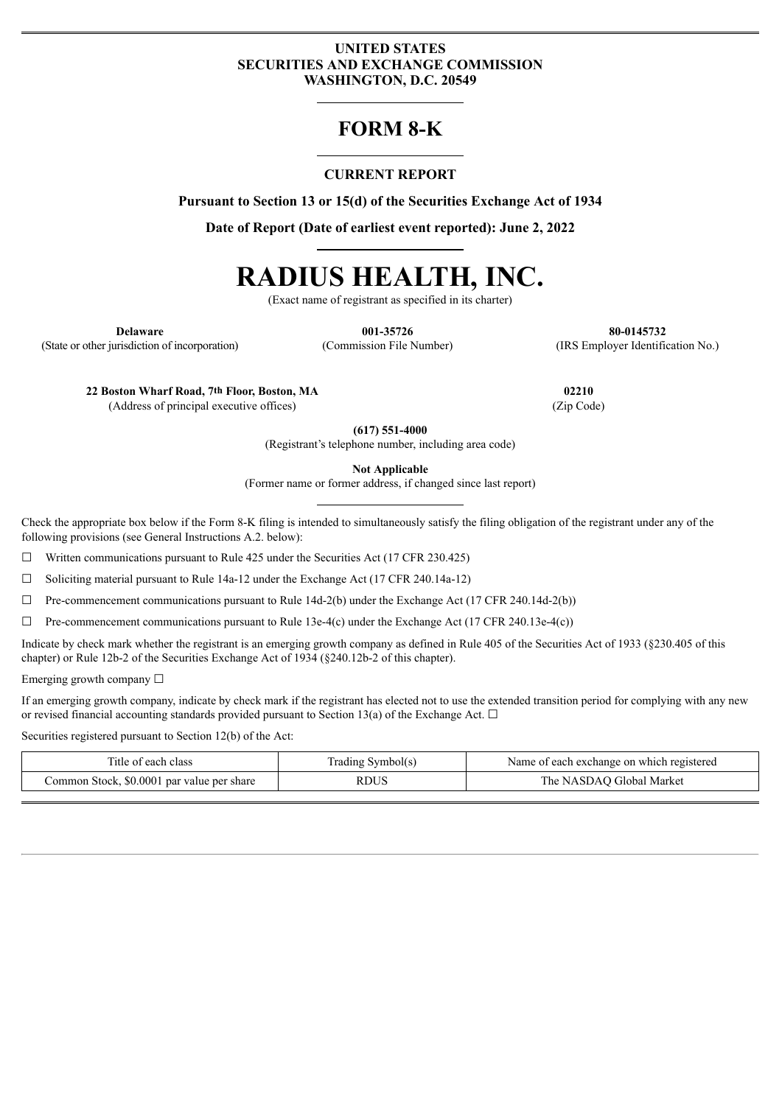# **UNITED STATES SECURITIES AND EXCHANGE COMMISSION WASHINGTON, D.C. 20549**

# **FORM 8-K**

# **CURRENT REPORT**

**Pursuant to Section 13 or 15(d) of the Securities Exchange Act of 1934**

**Date of Report (Date of earliest event reported): June 2, 2022**

# **RADIUS HEALTH, INC.**

(Exact name of registrant as specified in its charter)

**Delaware 001-35726 80-0145732** (State or other jurisdiction of incorporation) (Commission File Number) (IRS Employer Identification No.)

**22 Boston Wharf Road, 7th Floor, Boston, MA 02210**

(Address of principal executive offices) (Zip Code)

**(617) 551-4000**

(Registrant's telephone number, including area code)

**Not Applicable**

(Former name or former address, if changed since last report)

Check the appropriate box below if the Form 8-K filing is intended to simultaneously satisfy the filing obligation of the registrant under any of the following provisions (see General Instructions A.2. below):

 $\Box$  Written communications pursuant to Rule 425 under the Securities Act (17 CFR 230.425)

☐ Soliciting material pursuant to Rule 14a-12 under the Exchange Act (17 CFR 240.14a-12)

 $\Box$  Pre-commencement communications pursuant to Rule 14d-2(b) under the Exchange Act (17 CFR 240.14d-2(b))

 $\Box$  Pre-commencement communications pursuant to Rule 13e-4(c) under the Exchange Act (17 CFR 240.13e-4(c))

Indicate by check mark whether the registrant is an emerging growth company as defined in Rule 405 of the Securities Act of 1933 (§230.405 of this chapter) or Rule 12b-2 of the Securities Exchange Act of 1934 (§240.12b-2 of this chapter).

Emerging growth company ☐

If an emerging growth company, indicate by check mark if the registrant has elected not to use the extended transition period for complying with any new or revised financial accounting standards provided pursuant to Section 13(a) of the Exchange Act.  $\Box$ 

Securities registered pursuant to Section 12(b) of the Act:

| ' iti<br>class<br>of each                          | svmbol(s)<br>rading | each exchange on which registered<br>Name<br>ΩŤ |
|----------------------------------------------------|---------------------|-------------------------------------------------|
| \$0,0001<br>Common Stock,<br>l par value per share | RDUS                | ∪Global Market<br>NASDA\<br>. ne                |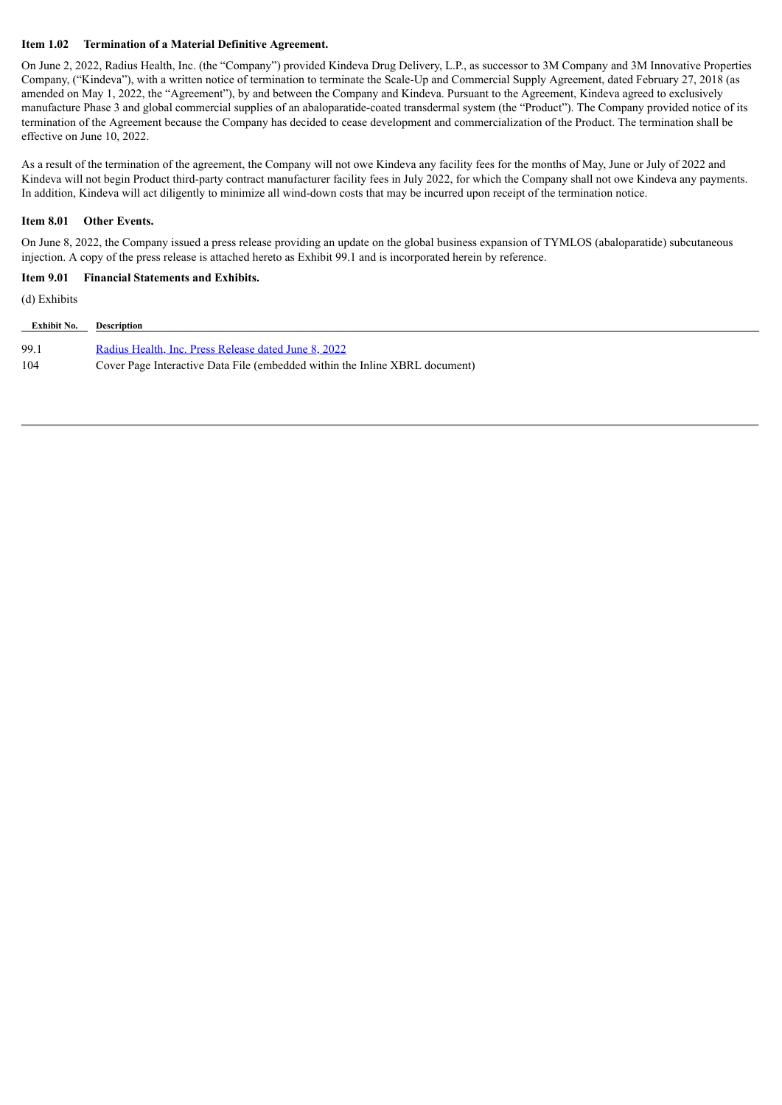#### **Item 1.02 Termination of a Material Definitive Agreement.**

On June 2, 2022, Radius Health, Inc. (the "Company") provided Kindeva Drug Delivery, L.P., as successor to 3M Company and 3M Innovative Properties Company, ("Kindeva"), with a written notice of termination to terminate the Scale-Up and Commercial Supply Agreement, dated February 27, 2018 (as amended on May 1, 2022, the "Agreement"), by and between the Company and Kindeva. Pursuant to the Agreement, Kindeva agreed to exclusively manufacture Phase 3 and global commercial supplies of an abaloparatide-coated transdermal system (the "Product"). The Company provided notice of its termination of the Agreement because the Company has decided to cease development and commercialization of the Product. The termination shall be effective on June 10, 2022.

As a result of the termination of the agreement, the Company will not owe Kindeva any facility fees for the months of May, June or July of 2022 and Kindeva will not begin Product third-party contract manufacturer facility fees in July 2022, for which the Company shall not owe Kindeva any payments. In addition, Kindeva will act diligently to minimize all wind-down costs that may be incurred upon receipt of the termination notice.

### **Item 8.01 Other Events.**

On June 8, 2022, the Company issued a press release providing an update on the global business expansion of TYMLOS (abaloparatide) subcutaneous injection. A copy of the press release is attached hereto as Exhibit 99.1 and is incorporated herein by reference.

#### **Item 9.01 Financial Statements and Exhibits.**

(d) Exhibits

| Exhibit No. | Description                                                                 |
|-------------|-----------------------------------------------------------------------------|
| 99.1        | Radius Health, Inc. Press Release dated June 8, 2022                        |
| 104         | Cover Page Interactive Data File (embedded within the Inline XBRL document) |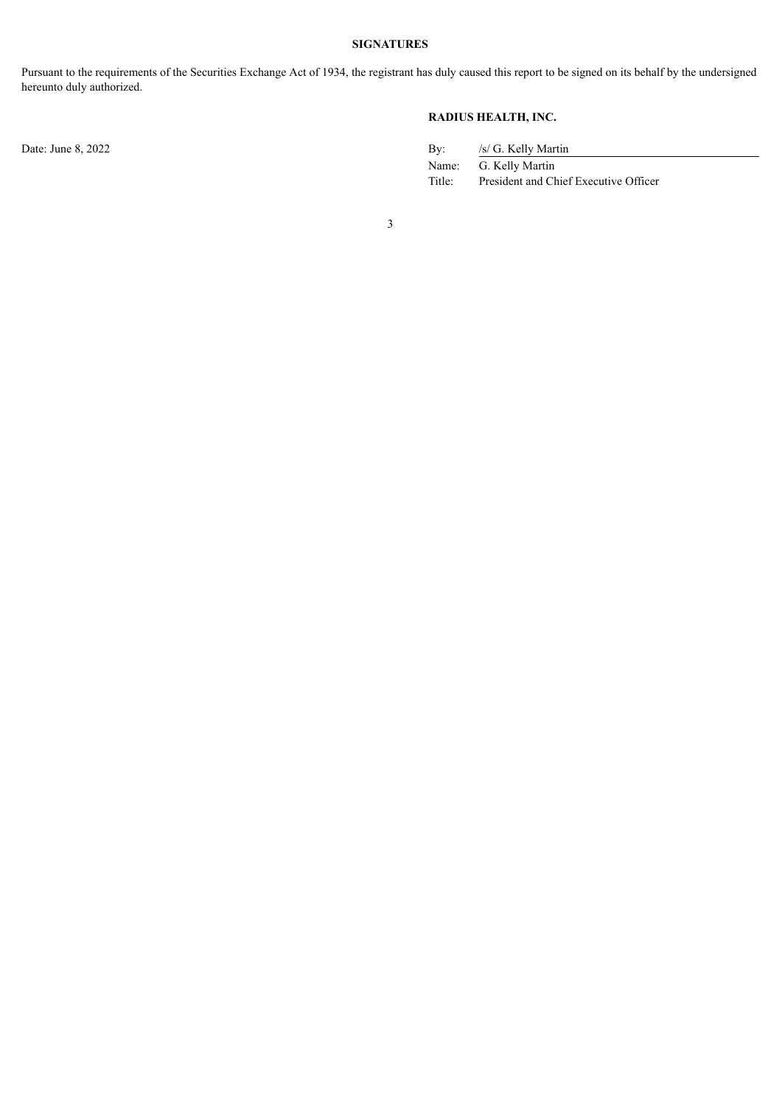#### **SIGNATURES**

Pursuant to the requirements of the Securities Exchange Act of 1934, the registrant has duly caused this report to be signed on its behalf by the undersigned hereunto duly authorized.

## **RADIUS HEALTH, INC.**

Date: June 8, 2022 By: /s/ G. Kelly Martin Name: G. Kelly Martin Title: President and Chief Executive Officer

3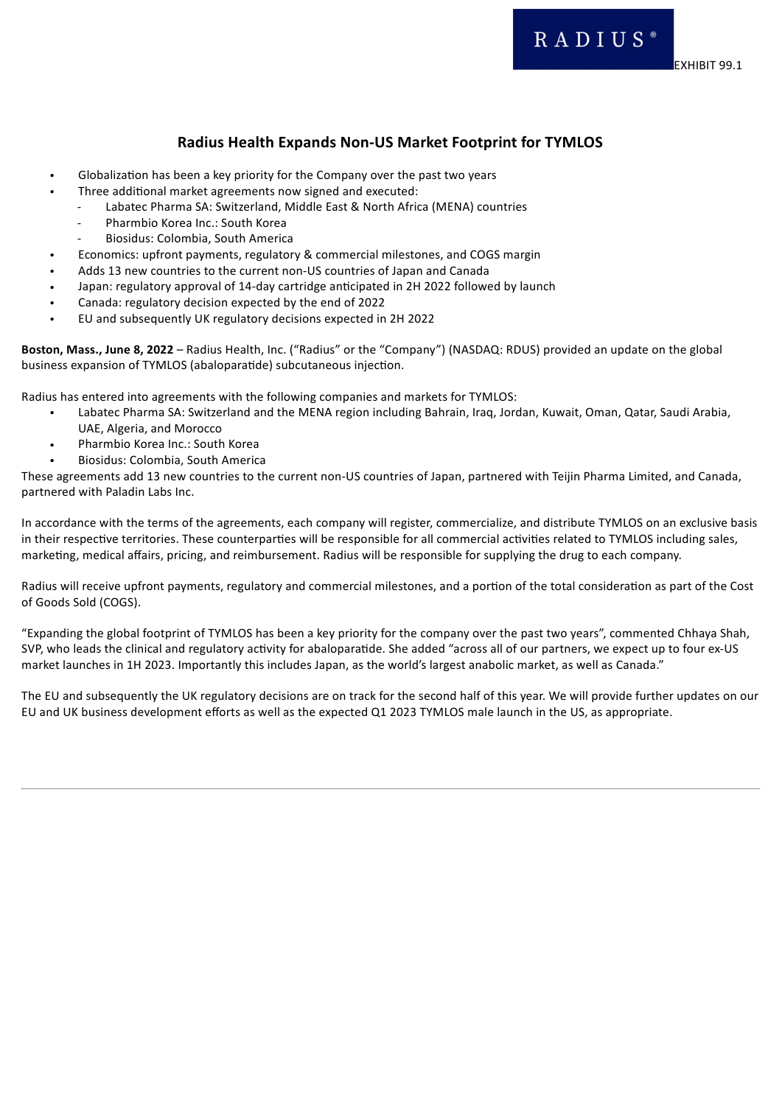# RADIUS<sup>®</sup>

EXHIBIT 99.1

# **Radius Health Expands Non-US Market Footprint for TYMLOS**

- <span id="page-3-0"></span>• Globalization has been a key priority for the Company over the past two years
- Three additional market agreements now signed and executed:
	- Labatec Pharma SA: Switzerland, Middle East & North Africa (MENA) countries
	- Pharmbio Korea Inc.: South Korea
	- Biosidus: Colombia, South America
- Economics: upfront payments, regulatory & commercial milestones, and COGS margin
- Adds 13 new countries to the current non-US countries of Japan and Canada
- Japan: regulatory approval of 14-day cartridge anticipated in 2H 2022 followed by launch
- Canada: regulatory decision expected by the end of 2022
- EU and subsequently UK regulatory decisions expected in 2H 2022

**Boston, Mass., June 8, 2022** – Radius Health, Inc. ("Radius" or the "Company") (NASDAQ: RDUS) provided an update on the global business expansion of TYMLOS (abaloparatide) subcutaneous injection.

Radius has entered into agreements with the following companies and markets for TYMLOS:

- Labatec Pharma SA: Switzerland and the MENA region including Bahrain, Iraq, Jordan, Kuwait, Oman, Qatar, Saudi Arabia, UAE, Algeria, and Morocco
- Pharmbio Korea Inc.: South Korea
- Biosidus: Colombia, South America

These agreements add 13 new countries to the current non-US countries of Japan, partnered with Teijin Pharma Limited, and Canada, partnered with Paladin Labs Inc.

In accordance with the terms of the agreements, each company will register, commercialize, and distribute TYMLOS on an exclusive basis in their respective territories. These counterparties will be responsible for all commercial activities related to TYMLOS including sales, marketing, medical affairs, pricing, and reimbursement. Radius will be responsible for supplying the drug to each company.

Radius will receive upfront payments, regulatory and commercial milestones, and a portion of the total consideration as part of the Cost of Goods Sold (COGS).

"Expanding the global footprint of TYMLOS has been a key priority for the company over the past two years", commented Chhaya Shah, SVP, who leads the clinical and regulatory activity for abaloparatide. She added "across all of our partners, we expect up to four ex-US market launches in 1H 2023. Importantly this includes Japan, as the world's largest anabolic market, as well as Canada."

The EU and subsequently the UK regulatory decisions are on track for the second half of this year. We will provide further updates on our EU and UK business development efforts as well as the expected Q1 2023 TYMLOS male launch in the US, as appropriate.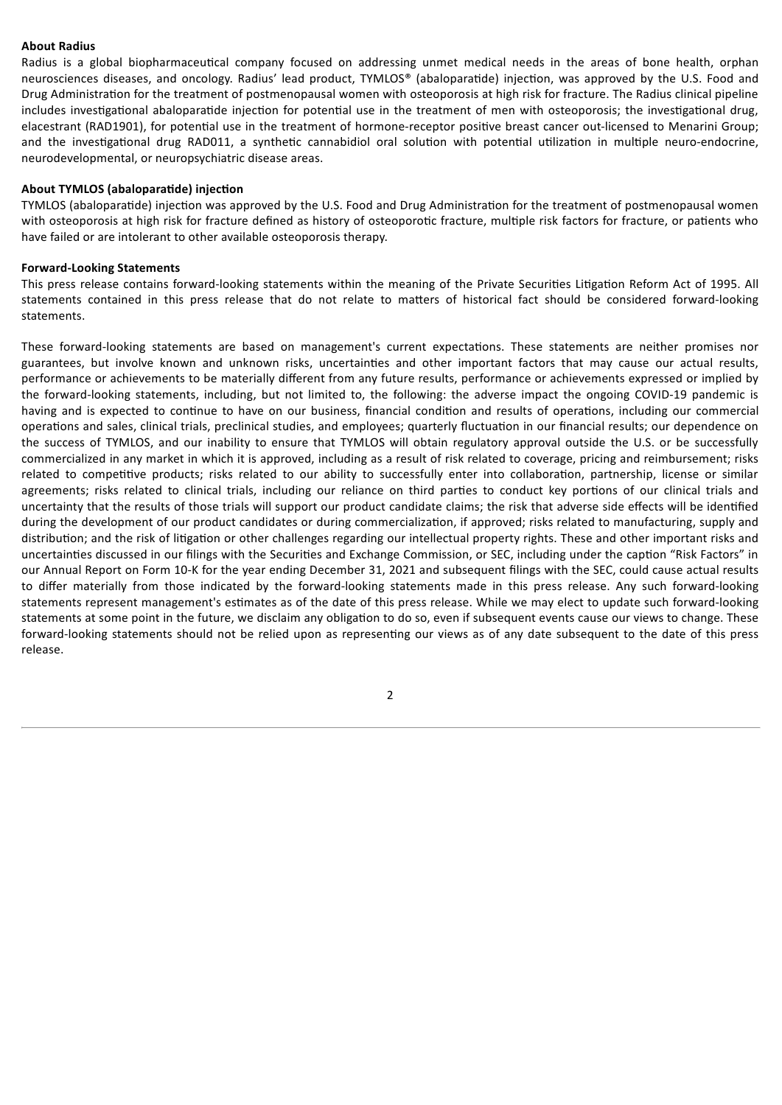#### **About Radius**

Radius is a global biopharmaceutical company focused on addressing unmet medical needs in the areas of bone health, orphan neurosciences diseases, and oncology. Radius' lead product, TYMLOS® (abaloparatide) injection, was approved by the U.S. Food and Drug Administration for the treatment of postmenopausal women with osteoporosis at high risk for fracture. The Radius clinical pipeline includes investigational abaloparatide injection for potential use in the treatment of men with osteoporosis; the investigational drug, elacestrant (RAD1901), for potential use in the treatment of hormone-receptor positive breast cancer out-licensed to Menarini Group; and the investigational drug RAD011, a synthetic cannabidiol oral solution with potential utilization in multiple neuro-endocrine, neurodevelopmental, or neuropsychiatric disease areas.

#### **About TYMLOS (abaloparatide) injection**

TYMLOS (abaloparatide) injection was approved by the U.S. Food and Drug Administration for the treatment of postmenopausal women with osteoporosis at high risk for fracture defined as history of osteoporotic fracture, multiple risk factors for fracture, or patients who have failed or are intolerant to other available osteoporosis therapy.

#### **Forward-Looking Statements**

This press release contains forward-looking statements within the meaning of the Private Securities Litigation Reform Act of 1995. All statements contained in this press release that do not relate to matters of historical fact should be considered forward-looking statements.

These forward-looking statements are based on management's current expectations. These statements are neither promises nor guarantees, but involve known and unknown risks, uncertainties and other important factors that may cause our actual results, performance or achievements to be materially different from any future results, performance or achievements expressed or implied by the forward-looking statements, including, but not limited to, the following: the adverse impact the ongoing COVID-19 pandemic is having and is expected to continue to have on our business, financial condition and results of operations, including our commercial operations and sales, clinical trials, preclinical studies, and employees; quarterly fluctuation in our financial results; our dependence on the success of TYMLOS, and our inability to ensure that TYMLOS will obtain regulatory approval outside the U.S. or be successfully commercialized in any market in which it is approved, including as a result of risk related to coverage, pricing and reimbursement; risks related to competitive products; risks related to our ability to successfully enter into collaboration, partnership, license or similar agreements; risks related to clinical trials, including our reliance on third parties to conduct key portions of our clinical trials and uncertainty that the results of those trials will support our product candidate claims; the risk that adverse side effects will be identified during the development of our product candidates or during commercialization, if approved; risks related to manufacturing, supply and distribution; and the risk of litigation or other challenges regarding our intellectual property rights. These and other important risks and uncertainties discussed in our filings with the Securities and Exchange Commission, or SEC, including under the caption "Risk Factors" in our Annual Report on Form 10-K for the year ending December 31, 2021 and subsequent filings with the SEC, could cause actual results to differ materially from those indicated by the forward-looking statements made in this press release. Any such forward-looking statements represent management's estimates as of the date of this press release. While we may elect to update such forward-looking statements at some point in the future, we disclaim any obligation to do so, even if subsequent events cause our views to change. These forward-looking statements should not be relied upon as representing our views as of any date subsequent to the date of this press release.

2